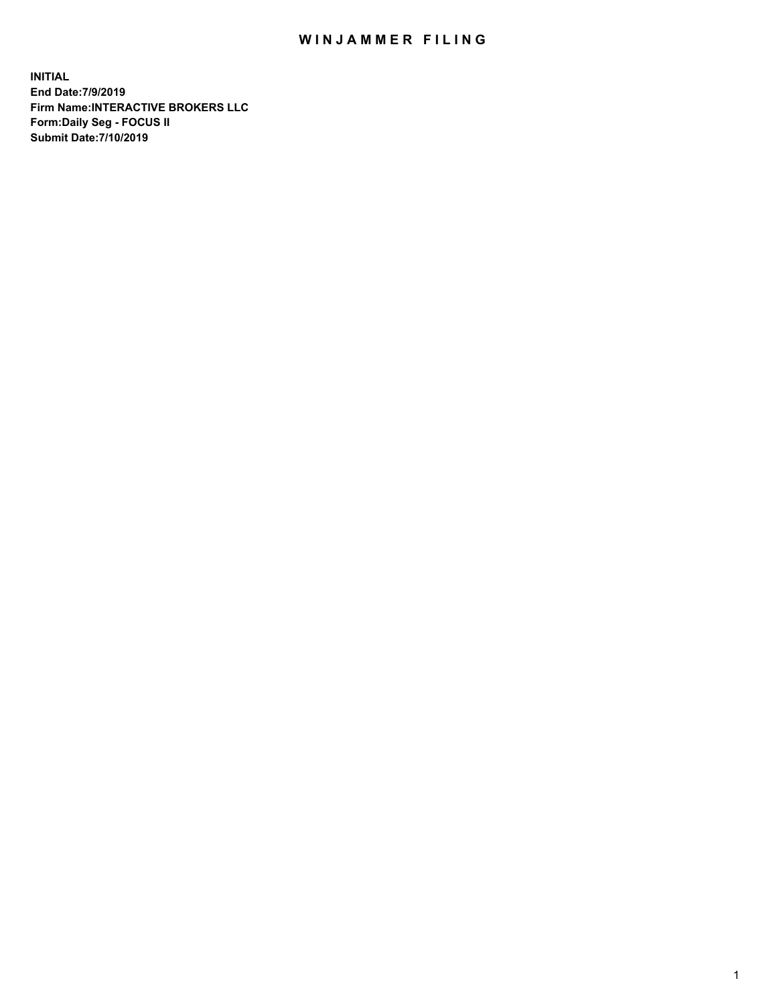## WIN JAMMER FILING

**INITIAL End Date:7/9/2019 Firm Name:INTERACTIVE BROKERS LLC Form:Daily Seg - FOCUS II Submit Date:7/10/2019**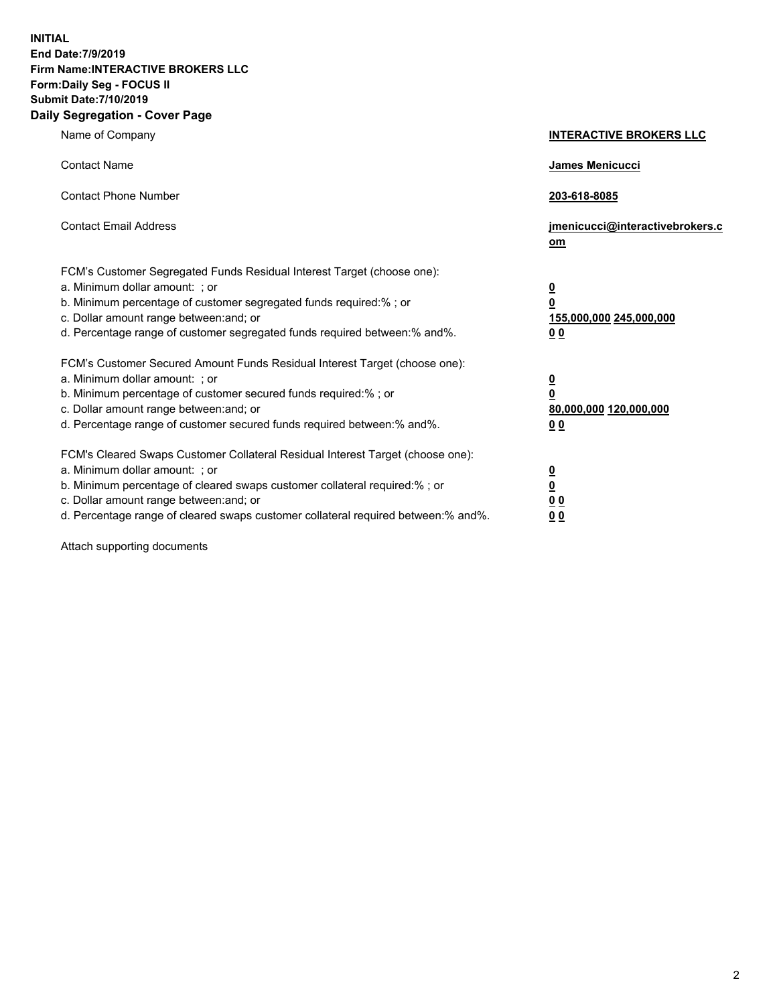**INITIAL End Date:7/9/2019 Firm Name:INTERACTIVE BROKERS LLC Form:Daily Seg - FOCUS II Submit Date:7/10/2019 Daily Segregation - Cover Page**

| Name of Company                                                                                                                                                                                                                                                                                                                | <b>INTERACTIVE BROKERS LLC</b>                                                                  |
|--------------------------------------------------------------------------------------------------------------------------------------------------------------------------------------------------------------------------------------------------------------------------------------------------------------------------------|-------------------------------------------------------------------------------------------------|
| <b>Contact Name</b>                                                                                                                                                                                                                                                                                                            | James Menicucci                                                                                 |
| <b>Contact Phone Number</b>                                                                                                                                                                                                                                                                                                    | 203-618-8085                                                                                    |
| <b>Contact Email Address</b>                                                                                                                                                                                                                                                                                                   | jmenicucci@interactivebrokers.c<br>om                                                           |
| FCM's Customer Segregated Funds Residual Interest Target (choose one):<br>a. Minimum dollar amount: ; or<br>b. Minimum percentage of customer segregated funds required:% ; or<br>c. Dollar amount range between: and; or<br>d. Percentage range of customer segregated funds required between:% and%.                         | $\overline{\mathbf{0}}$<br>$\overline{\mathbf{0}}$<br>155,000,000 245,000,000<br>0 <sub>0</sub> |
| FCM's Customer Secured Amount Funds Residual Interest Target (choose one):<br>a. Minimum dollar amount: ; or<br>b. Minimum percentage of customer secured funds required:% ; or<br>c. Dollar amount range between: and; or<br>d. Percentage range of customer secured funds required between:% and%.                           | $\overline{\mathbf{0}}$<br>0<br>80,000,000 120,000,000<br>0 <sub>0</sub>                        |
| FCM's Cleared Swaps Customer Collateral Residual Interest Target (choose one):<br>a. Minimum dollar amount: ; or<br>b. Minimum percentage of cleared swaps customer collateral required:% ; or<br>c. Dollar amount range between: and; or<br>d. Percentage range of cleared swaps customer collateral required between:% and%. | $\overline{\mathbf{0}}$<br><u>0</u><br>$\underline{0}$ $\underline{0}$<br>00                    |

Attach supporting documents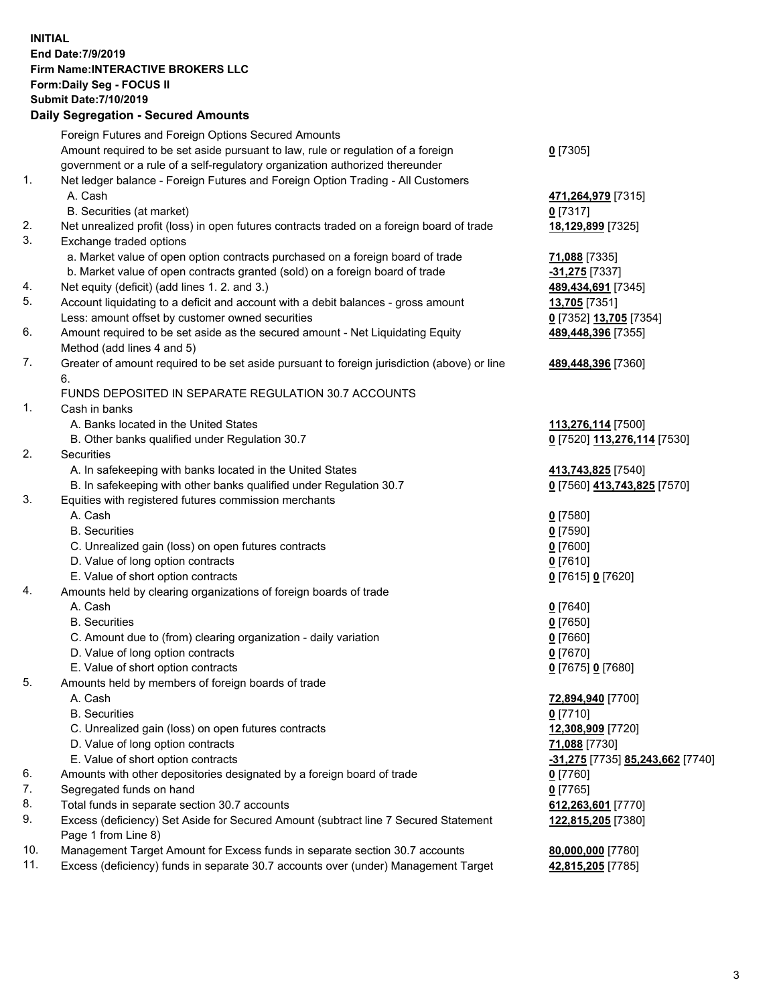## **INITIAL End Date:7/9/2019 Firm Name:INTERACTIVE BROKERS LLC Form:Daily Seg - FOCUS II Submit Date:7/10/2019 Daily Segregation - Secured Amounts**

| 2011 - 2001 - 2001 - 2000 - 2011 - 2011 - 2011 - 2011 - 2011 - 2011 - 2012 - 2012 - 2012 - 2014 - 20 |                                                                                                                                                                                                                                                                                                                                                                                                                                                                                                                                                                                                                                                                                                                                                                                                                                                                                                                                                                                                                                                                                                                                                                                                                                                                                                                                                                                                                                                                                                                                                                                                                                                                                                                                                                                                                                                                                                                                                                                                                                                                                                                                                                                                                                                                                                                                                                                                          |
|------------------------------------------------------------------------------------------------------|----------------------------------------------------------------------------------------------------------------------------------------------------------------------------------------------------------------------------------------------------------------------------------------------------------------------------------------------------------------------------------------------------------------------------------------------------------------------------------------------------------------------------------------------------------------------------------------------------------------------------------------------------------------------------------------------------------------------------------------------------------------------------------------------------------------------------------------------------------------------------------------------------------------------------------------------------------------------------------------------------------------------------------------------------------------------------------------------------------------------------------------------------------------------------------------------------------------------------------------------------------------------------------------------------------------------------------------------------------------------------------------------------------------------------------------------------------------------------------------------------------------------------------------------------------------------------------------------------------------------------------------------------------------------------------------------------------------------------------------------------------------------------------------------------------------------------------------------------------------------------------------------------------------------------------------------------------------------------------------------------------------------------------------------------------------------------------------------------------------------------------------------------------------------------------------------------------------------------------------------------------------------------------------------------------------------------------------------------------------------------------------------------------|
| Foreign Futures and Foreign Options Secured Amounts                                                  |                                                                                                                                                                                                                                                                                                                                                                                                                                                                                                                                                                                                                                                                                                                                                                                                                                                                                                                                                                                                                                                                                                                                                                                                                                                                                                                                                                                                                                                                                                                                                                                                                                                                                                                                                                                                                                                                                                                                                                                                                                                                                                                                                                                                                                                                                                                                                                                                          |
|                                                                                                      | $0$ [7305]                                                                                                                                                                                                                                                                                                                                                                                                                                                                                                                                                                                                                                                                                                                                                                                                                                                                                                                                                                                                                                                                                                                                                                                                                                                                                                                                                                                                                                                                                                                                                                                                                                                                                                                                                                                                                                                                                                                                                                                                                                                                                                                                                                                                                                                                                                                                                                                               |
|                                                                                                      |                                                                                                                                                                                                                                                                                                                                                                                                                                                                                                                                                                                                                                                                                                                                                                                                                                                                                                                                                                                                                                                                                                                                                                                                                                                                                                                                                                                                                                                                                                                                                                                                                                                                                                                                                                                                                                                                                                                                                                                                                                                                                                                                                                                                                                                                                                                                                                                                          |
|                                                                                                      |                                                                                                                                                                                                                                                                                                                                                                                                                                                                                                                                                                                                                                                                                                                                                                                                                                                                                                                                                                                                                                                                                                                                                                                                                                                                                                                                                                                                                                                                                                                                                                                                                                                                                                                                                                                                                                                                                                                                                                                                                                                                                                                                                                                                                                                                                                                                                                                                          |
| A. Cash                                                                                              | 471,264,979 [7315]                                                                                                                                                                                                                                                                                                                                                                                                                                                                                                                                                                                                                                                                                                                                                                                                                                                                                                                                                                                                                                                                                                                                                                                                                                                                                                                                                                                                                                                                                                                                                                                                                                                                                                                                                                                                                                                                                                                                                                                                                                                                                                                                                                                                                                                                                                                                                                                       |
| B. Securities (at market)                                                                            | 0 [7317]                                                                                                                                                                                                                                                                                                                                                                                                                                                                                                                                                                                                                                                                                                                                                                                                                                                                                                                                                                                                                                                                                                                                                                                                                                                                                                                                                                                                                                                                                                                                                                                                                                                                                                                                                                                                                                                                                                                                                                                                                                                                                                                                                                                                                                                                                                                                                                                                 |
|                                                                                                      | 18,129,899 [7325]                                                                                                                                                                                                                                                                                                                                                                                                                                                                                                                                                                                                                                                                                                                                                                                                                                                                                                                                                                                                                                                                                                                                                                                                                                                                                                                                                                                                                                                                                                                                                                                                                                                                                                                                                                                                                                                                                                                                                                                                                                                                                                                                                                                                                                                                                                                                                                                        |
| Exchange traded options                                                                              |                                                                                                                                                                                                                                                                                                                                                                                                                                                                                                                                                                                                                                                                                                                                                                                                                                                                                                                                                                                                                                                                                                                                                                                                                                                                                                                                                                                                                                                                                                                                                                                                                                                                                                                                                                                                                                                                                                                                                                                                                                                                                                                                                                                                                                                                                                                                                                                                          |
|                                                                                                      | 71,088 [7335]                                                                                                                                                                                                                                                                                                                                                                                                                                                                                                                                                                                                                                                                                                                                                                                                                                                                                                                                                                                                                                                                                                                                                                                                                                                                                                                                                                                                                                                                                                                                                                                                                                                                                                                                                                                                                                                                                                                                                                                                                                                                                                                                                                                                                                                                                                                                                                                            |
|                                                                                                      | -31,275 [7337]                                                                                                                                                                                                                                                                                                                                                                                                                                                                                                                                                                                                                                                                                                                                                                                                                                                                                                                                                                                                                                                                                                                                                                                                                                                                                                                                                                                                                                                                                                                                                                                                                                                                                                                                                                                                                                                                                                                                                                                                                                                                                                                                                                                                                                                                                                                                                                                           |
|                                                                                                      | 489,434,691 [7345]                                                                                                                                                                                                                                                                                                                                                                                                                                                                                                                                                                                                                                                                                                                                                                                                                                                                                                                                                                                                                                                                                                                                                                                                                                                                                                                                                                                                                                                                                                                                                                                                                                                                                                                                                                                                                                                                                                                                                                                                                                                                                                                                                                                                                                                                                                                                                                                       |
|                                                                                                      | 13,705 [7351]                                                                                                                                                                                                                                                                                                                                                                                                                                                                                                                                                                                                                                                                                                                                                                                                                                                                                                                                                                                                                                                                                                                                                                                                                                                                                                                                                                                                                                                                                                                                                                                                                                                                                                                                                                                                                                                                                                                                                                                                                                                                                                                                                                                                                                                                                                                                                                                            |
|                                                                                                      | 0 [7352] 13,705 [7354]                                                                                                                                                                                                                                                                                                                                                                                                                                                                                                                                                                                                                                                                                                                                                                                                                                                                                                                                                                                                                                                                                                                                                                                                                                                                                                                                                                                                                                                                                                                                                                                                                                                                                                                                                                                                                                                                                                                                                                                                                                                                                                                                                                                                                                                                                                                                                                                   |
|                                                                                                      | 489,448,396 [7355]                                                                                                                                                                                                                                                                                                                                                                                                                                                                                                                                                                                                                                                                                                                                                                                                                                                                                                                                                                                                                                                                                                                                                                                                                                                                                                                                                                                                                                                                                                                                                                                                                                                                                                                                                                                                                                                                                                                                                                                                                                                                                                                                                                                                                                                                                                                                                                                       |
|                                                                                                      |                                                                                                                                                                                                                                                                                                                                                                                                                                                                                                                                                                                                                                                                                                                                                                                                                                                                                                                                                                                                                                                                                                                                                                                                                                                                                                                                                                                                                                                                                                                                                                                                                                                                                                                                                                                                                                                                                                                                                                                                                                                                                                                                                                                                                                                                                                                                                                                                          |
|                                                                                                      | 489,448,396 [7360]                                                                                                                                                                                                                                                                                                                                                                                                                                                                                                                                                                                                                                                                                                                                                                                                                                                                                                                                                                                                                                                                                                                                                                                                                                                                                                                                                                                                                                                                                                                                                                                                                                                                                                                                                                                                                                                                                                                                                                                                                                                                                                                                                                                                                                                                                                                                                                                       |
| 6.                                                                                                   |                                                                                                                                                                                                                                                                                                                                                                                                                                                                                                                                                                                                                                                                                                                                                                                                                                                                                                                                                                                                                                                                                                                                                                                                                                                                                                                                                                                                                                                                                                                                                                                                                                                                                                                                                                                                                                                                                                                                                                                                                                                                                                                                                                                                                                                                                                                                                                                                          |
|                                                                                                      |                                                                                                                                                                                                                                                                                                                                                                                                                                                                                                                                                                                                                                                                                                                                                                                                                                                                                                                                                                                                                                                                                                                                                                                                                                                                                                                                                                                                                                                                                                                                                                                                                                                                                                                                                                                                                                                                                                                                                                                                                                                                                                                                                                                                                                                                                                                                                                                                          |
|                                                                                                      |                                                                                                                                                                                                                                                                                                                                                                                                                                                                                                                                                                                                                                                                                                                                                                                                                                                                                                                                                                                                                                                                                                                                                                                                                                                                                                                                                                                                                                                                                                                                                                                                                                                                                                                                                                                                                                                                                                                                                                                                                                                                                                                                                                                                                                                                                                                                                                                                          |
|                                                                                                      | 113,276,114 [7500]                                                                                                                                                                                                                                                                                                                                                                                                                                                                                                                                                                                                                                                                                                                                                                                                                                                                                                                                                                                                                                                                                                                                                                                                                                                                                                                                                                                                                                                                                                                                                                                                                                                                                                                                                                                                                                                                                                                                                                                                                                                                                                                                                                                                                                                                                                                                                                                       |
|                                                                                                      | 0 [7520] 113,276,114 [7530]                                                                                                                                                                                                                                                                                                                                                                                                                                                                                                                                                                                                                                                                                                                                                                                                                                                                                                                                                                                                                                                                                                                                                                                                                                                                                                                                                                                                                                                                                                                                                                                                                                                                                                                                                                                                                                                                                                                                                                                                                                                                                                                                                                                                                                                                                                                                                                              |
|                                                                                                      |                                                                                                                                                                                                                                                                                                                                                                                                                                                                                                                                                                                                                                                                                                                                                                                                                                                                                                                                                                                                                                                                                                                                                                                                                                                                                                                                                                                                                                                                                                                                                                                                                                                                                                                                                                                                                                                                                                                                                                                                                                                                                                                                                                                                                                                                                                                                                                                                          |
|                                                                                                      | 413,743,825 [7540]                                                                                                                                                                                                                                                                                                                                                                                                                                                                                                                                                                                                                                                                                                                                                                                                                                                                                                                                                                                                                                                                                                                                                                                                                                                                                                                                                                                                                                                                                                                                                                                                                                                                                                                                                                                                                                                                                                                                                                                                                                                                                                                                                                                                                                                                                                                                                                                       |
|                                                                                                      | 0 [7560] 413,743,825 [7570]                                                                                                                                                                                                                                                                                                                                                                                                                                                                                                                                                                                                                                                                                                                                                                                                                                                                                                                                                                                                                                                                                                                                                                                                                                                                                                                                                                                                                                                                                                                                                                                                                                                                                                                                                                                                                                                                                                                                                                                                                                                                                                                                                                                                                                                                                                                                                                              |
|                                                                                                      |                                                                                                                                                                                                                                                                                                                                                                                                                                                                                                                                                                                                                                                                                                                                                                                                                                                                                                                                                                                                                                                                                                                                                                                                                                                                                                                                                                                                                                                                                                                                                                                                                                                                                                                                                                                                                                                                                                                                                                                                                                                                                                                                                                                                                                                                                                                                                                                                          |
|                                                                                                      | $0$ [7580]                                                                                                                                                                                                                                                                                                                                                                                                                                                                                                                                                                                                                                                                                                                                                                                                                                                                                                                                                                                                                                                                                                                                                                                                                                                                                                                                                                                                                                                                                                                                                                                                                                                                                                                                                                                                                                                                                                                                                                                                                                                                                                                                                                                                                                                                                                                                                                                               |
|                                                                                                      | $0$ [7590]                                                                                                                                                                                                                                                                                                                                                                                                                                                                                                                                                                                                                                                                                                                                                                                                                                                                                                                                                                                                                                                                                                                                                                                                                                                                                                                                                                                                                                                                                                                                                                                                                                                                                                                                                                                                                                                                                                                                                                                                                                                                                                                                                                                                                                                                                                                                                                                               |
|                                                                                                      | $0$ [7600]                                                                                                                                                                                                                                                                                                                                                                                                                                                                                                                                                                                                                                                                                                                                                                                                                                                                                                                                                                                                                                                                                                                                                                                                                                                                                                                                                                                                                                                                                                                                                                                                                                                                                                                                                                                                                                                                                                                                                                                                                                                                                                                                                                                                                                                                                                                                                                                               |
|                                                                                                      | $0$ [7610]                                                                                                                                                                                                                                                                                                                                                                                                                                                                                                                                                                                                                                                                                                                                                                                                                                                                                                                                                                                                                                                                                                                                                                                                                                                                                                                                                                                                                                                                                                                                                                                                                                                                                                                                                                                                                                                                                                                                                                                                                                                                                                                                                                                                                                                                                                                                                                                               |
|                                                                                                      | 0 [7615] 0 [7620]                                                                                                                                                                                                                                                                                                                                                                                                                                                                                                                                                                                                                                                                                                                                                                                                                                                                                                                                                                                                                                                                                                                                                                                                                                                                                                                                                                                                                                                                                                                                                                                                                                                                                                                                                                                                                                                                                                                                                                                                                                                                                                                                                                                                                                                                                                                                                                                        |
|                                                                                                      |                                                                                                                                                                                                                                                                                                                                                                                                                                                                                                                                                                                                                                                                                                                                                                                                                                                                                                                                                                                                                                                                                                                                                                                                                                                                                                                                                                                                                                                                                                                                                                                                                                                                                                                                                                                                                                                                                                                                                                                                                                                                                                                                                                                                                                                                                                                                                                                                          |
|                                                                                                      | $0$ [7640]                                                                                                                                                                                                                                                                                                                                                                                                                                                                                                                                                                                                                                                                                                                                                                                                                                                                                                                                                                                                                                                                                                                                                                                                                                                                                                                                                                                                                                                                                                                                                                                                                                                                                                                                                                                                                                                                                                                                                                                                                                                                                                                                                                                                                                                                                                                                                                                               |
|                                                                                                      | $0$ [7650]                                                                                                                                                                                                                                                                                                                                                                                                                                                                                                                                                                                                                                                                                                                                                                                                                                                                                                                                                                                                                                                                                                                                                                                                                                                                                                                                                                                                                                                                                                                                                                                                                                                                                                                                                                                                                                                                                                                                                                                                                                                                                                                                                                                                                                                                                                                                                                                               |
|                                                                                                      | $0$ [7660]                                                                                                                                                                                                                                                                                                                                                                                                                                                                                                                                                                                                                                                                                                                                                                                                                                                                                                                                                                                                                                                                                                                                                                                                                                                                                                                                                                                                                                                                                                                                                                                                                                                                                                                                                                                                                                                                                                                                                                                                                                                                                                                                                                                                                                                                                                                                                                                               |
|                                                                                                      | $0$ [7670]                                                                                                                                                                                                                                                                                                                                                                                                                                                                                                                                                                                                                                                                                                                                                                                                                                                                                                                                                                                                                                                                                                                                                                                                                                                                                                                                                                                                                                                                                                                                                                                                                                                                                                                                                                                                                                                                                                                                                                                                                                                                                                                                                                                                                                                                                                                                                                                               |
|                                                                                                      | 0 [7675] 0 [7680]                                                                                                                                                                                                                                                                                                                                                                                                                                                                                                                                                                                                                                                                                                                                                                                                                                                                                                                                                                                                                                                                                                                                                                                                                                                                                                                                                                                                                                                                                                                                                                                                                                                                                                                                                                                                                                                                                                                                                                                                                                                                                                                                                                                                                                                                                                                                                                                        |
|                                                                                                      |                                                                                                                                                                                                                                                                                                                                                                                                                                                                                                                                                                                                                                                                                                                                                                                                                                                                                                                                                                                                                                                                                                                                                                                                                                                                                                                                                                                                                                                                                                                                                                                                                                                                                                                                                                                                                                                                                                                                                                                                                                                                                                                                                                                                                                                                                                                                                                                                          |
|                                                                                                      | 72,894,940 [7700]                                                                                                                                                                                                                                                                                                                                                                                                                                                                                                                                                                                                                                                                                                                                                                                                                                                                                                                                                                                                                                                                                                                                                                                                                                                                                                                                                                                                                                                                                                                                                                                                                                                                                                                                                                                                                                                                                                                                                                                                                                                                                                                                                                                                                                                                                                                                                                                        |
|                                                                                                      | $0$ [7710]                                                                                                                                                                                                                                                                                                                                                                                                                                                                                                                                                                                                                                                                                                                                                                                                                                                                                                                                                                                                                                                                                                                                                                                                                                                                                                                                                                                                                                                                                                                                                                                                                                                                                                                                                                                                                                                                                                                                                                                                                                                                                                                                                                                                                                                                                                                                                                                               |
|                                                                                                      | 12,308,909 [7720]                                                                                                                                                                                                                                                                                                                                                                                                                                                                                                                                                                                                                                                                                                                                                                                                                                                                                                                                                                                                                                                                                                                                                                                                                                                                                                                                                                                                                                                                                                                                                                                                                                                                                                                                                                                                                                                                                                                                                                                                                                                                                                                                                                                                                                                                                                                                                                                        |
|                                                                                                      | 71,088 [7730]                                                                                                                                                                                                                                                                                                                                                                                                                                                                                                                                                                                                                                                                                                                                                                                                                                                                                                                                                                                                                                                                                                                                                                                                                                                                                                                                                                                                                                                                                                                                                                                                                                                                                                                                                                                                                                                                                                                                                                                                                                                                                                                                                                                                                                                                                                                                                                                            |
|                                                                                                      | <mark>-31,275</mark> [7735] <b>85,243,662</b> [7740]                                                                                                                                                                                                                                                                                                                                                                                                                                                                                                                                                                                                                                                                                                                                                                                                                                                                                                                                                                                                                                                                                                                                                                                                                                                                                                                                                                                                                                                                                                                                                                                                                                                                                                                                                                                                                                                                                                                                                                                                                                                                                                                                                                                                                                                                                                                                                     |
|                                                                                                      | 0 [7760]                                                                                                                                                                                                                                                                                                                                                                                                                                                                                                                                                                                                                                                                                                                                                                                                                                                                                                                                                                                                                                                                                                                                                                                                                                                                                                                                                                                                                                                                                                                                                                                                                                                                                                                                                                                                                                                                                                                                                                                                                                                                                                                                                                                                                                                                                                                                                                                                 |
|                                                                                                      | $0$ [7765]                                                                                                                                                                                                                                                                                                                                                                                                                                                                                                                                                                                                                                                                                                                                                                                                                                                                                                                                                                                                                                                                                                                                                                                                                                                                                                                                                                                                                                                                                                                                                                                                                                                                                                                                                                                                                                                                                                                                                                                                                                                                                                                                                                                                                                                                                                                                                                                               |
|                                                                                                      | 612,263,601 [7770]                                                                                                                                                                                                                                                                                                                                                                                                                                                                                                                                                                                                                                                                                                                                                                                                                                                                                                                                                                                                                                                                                                                                                                                                                                                                                                                                                                                                                                                                                                                                                                                                                                                                                                                                                                                                                                                                                                                                                                                                                                                                                                                                                                                                                                                                                                                                                                                       |
|                                                                                                      | 122,815,205 [7380]                                                                                                                                                                                                                                                                                                                                                                                                                                                                                                                                                                                                                                                                                                                                                                                                                                                                                                                                                                                                                                                                                                                                                                                                                                                                                                                                                                                                                                                                                                                                                                                                                                                                                                                                                                                                                                                                                                                                                                                                                                                                                                                                                                                                                                                                                                                                                                                       |
|                                                                                                      |                                                                                                                                                                                                                                                                                                                                                                                                                                                                                                                                                                                                                                                                                                                                                                                                                                                                                                                                                                                                                                                                                                                                                                                                                                                                                                                                                                                                                                                                                                                                                                                                                                                                                                                                                                                                                                                                                                                                                                                                                                                                                                                                                                                                                                                                                                                                                                                                          |
|                                                                                                      | 80,000,000 [7780]                                                                                                                                                                                                                                                                                                                                                                                                                                                                                                                                                                                                                                                                                                                                                                                                                                                                                                                                                                                                                                                                                                                                                                                                                                                                                                                                                                                                                                                                                                                                                                                                                                                                                                                                                                                                                                                                                                                                                                                                                                                                                                                                                                                                                                                                                                                                                                                        |
|                                                                                                      | 42,815,205 [7785]                                                                                                                                                                                                                                                                                                                                                                                                                                                                                                                                                                                                                                                                                                                                                                                                                                                                                                                                                                                                                                                                                                                                                                                                                                                                                                                                                                                                                                                                                                                                                                                                                                                                                                                                                                                                                                                                                                                                                                                                                                                                                                                                                                                                                                                                                                                                                                                        |
|                                                                                                      | Amount required to be set aside pursuant to law, rule or regulation of a foreign<br>government or a rule of a self-regulatory organization authorized thereunder<br>Net ledger balance - Foreign Futures and Foreign Option Trading - All Customers<br>Net unrealized profit (loss) in open futures contracts traded on a foreign board of trade<br>a. Market value of open option contracts purchased on a foreign board of trade<br>b. Market value of open contracts granted (sold) on a foreign board of trade<br>Net equity (deficit) (add lines 1.2. and 3.)<br>Account liquidating to a deficit and account with a debit balances - gross amount<br>Less: amount offset by customer owned securities<br>Amount required to be set aside as the secured amount - Net Liquidating Equity<br>Method (add lines 4 and 5)<br>Greater of amount required to be set aside pursuant to foreign jurisdiction (above) or line<br>FUNDS DEPOSITED IN SEPARATE REGULATION 30.7 ACCOUNTS<br>Cash in banks<br>A. Banks located in the United States<br>B. Other banks qualified under Regulation 30.7<br>Securities<br>A. In safekeeping with banks located in the United States<br>B. In safekeeping with other banks qualified under Regulation 30.7<br>Equities with registered futures commission merchants<br>A. Cash<br><b>B.</b> Securities<br>C. Unrealized gain (loss) on open futures contracts<br>D. Value of long option contracts<br>E. Value of short option contracts<br>Amounts held by clearing organizations of foreign boards of trade<br>A. Cash<br><b>B.</b> Securities<br>C. Amount due to (from) clearing organization - daily variation<br>D. Value of long option contracts<br>E. Value of short option contracts<br>Amounts held by members of foreign boards of trade<br>A. Cash<br><b>B.</b> Securities<br>C. Unrealized gain (loss) on open futures contracts<br>D. Value of long option contracts<br>E. Value of short option contracts<br>Amounts with other depositories designated by a foreign board of trade<br>Segregated funds on hand<br>Total funds in separate section 30.7 accounts<br>Excess (deficiency) Set Aside for Secured Amount (subtract line 7 Secured Statement<br>Page 1 from Line 8)<br>Management Target Amount for Excess funds in separate section 30.7 accounts<br>Excess (deficiency) funds in separate 30.7 accounts over (under) Management Target |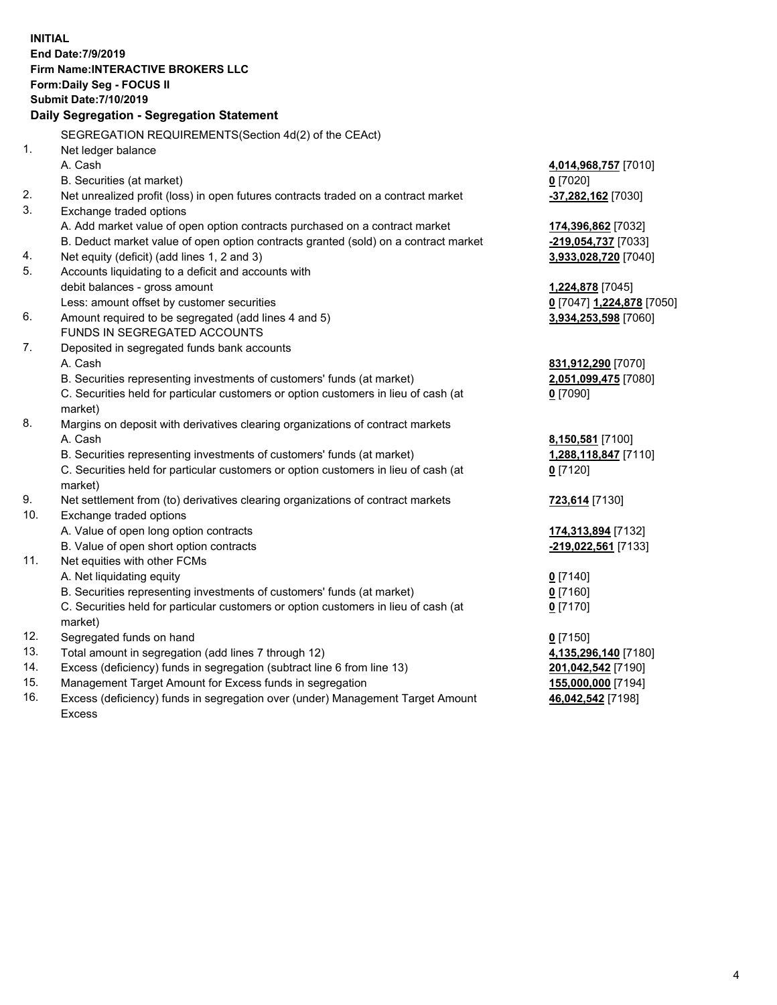**INITIAL End Date:7/9/2019 Firm Name:INTERACTIVE BROKERS LLC Form:Daily Seg - FOCUS II Submit Date:7/10/2019 Daily Segregation - Segregation Statement** SEGREGATION REQUIREMENTS(Section 4d(2) of the CEAct) 1. Net ledger balance A. Cash **4,014,968,757** [7010] B. Securities (at market) **0** [7020] 2. Net unrealized profit (loss) in open futures contracts traded on a contract market **-37,282,162** [7030] 3. Exchange traded options A. Add market value of open option contracts purchased on a contract market **174,396,862** [7032] B. Deduct market value of open option contracts granted (sold) on a contract market **-219,054,737** [7033] 4. Net equity (deficit) (add lines 1, 2 and 3) **3,933,028,720** [7040] 5. Accounts liquidating to a deficit and accounts with debit balances - gross amount **1,224,878** [7045] Less: amount offset by customer securities **0** [7047] **1,224,878** [7050] 6. Amount required to be segregated (add lines 4 and 5) **3,934,253,598** [7060] FUNDS IN SEGREGATED ACCOUNTS 7. Deposited in segregated funds bank accounts A. Cash **831,912,290** [7070] B. Securities representing investments of customers' funds (at market) **2,051,099,475** [7080] C. Securities held for particular customers or option customers in lieu of cash (at market) **0** [7090] 8. Margins on deposit with derivatives clearing organizations of contract markets A. Cash **8,150,581** [7100] B. Securities representing investments of customers' funds (at market) **1,288,118,847** [7110] C. Securities held for particular customers or option customers in lieu of cash (at market) **0** [7120] 9. Net settlement from (to) derivatives clearing organizations of contract markets **723,614** [7130] 10. Exchange traded options A. Value of open long option contracts **174,313,894** [7132] B. Value of open short option contracts **-219,022,561** [7133] 11. Net equities with other FCMs A. Net liquidating equity **0** [7140] B. Securities representing investments of customers' funds (at market) **0** [7160] C. Securities held for particular customers or option customers in lieu of cash (at market) **0** [7170] 12. Segregated funds on hand **0** [7150] 13. Total amount in segregation (add lines 7 through 12) **4,135,296,140** [7180] 14. Excess (deficiency) funds in segregation (subtract line 6 from line 13) **201,042,542** [7190] 15. Management Target Amount for Excess funds in segregation **155,000,000** [7194]

16. Excess (deficiency) funds in segregation over (under) Management Target Amount Excess

**46,042,542** [7198]